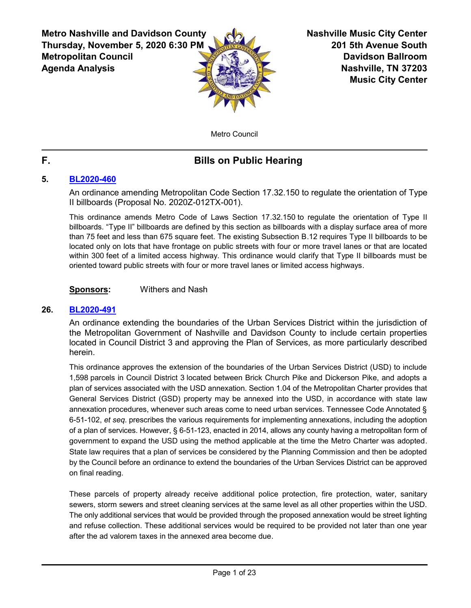**Metro Nashville and Davidson County Thursday, November 5, 2020 6:30 PM Metropolitan Council Agenda Analysis**



**Nashville Music City Center 201 5th Avenue South Davidson Ballroom Nashville, TN 37203 Music City Center**

Metro Council

# **F. Bills on Public Hearing**

# **5. [BL2020-460](http://nashville.legistar.com/gateway.aspx?m=l&id=/matter.aspx?key=1418)**

An ordinance amending Metropolitan Code Section 17.32.150 to regulate the orientation of Type II billboards (Proposal No. 2020Z-012TX-001).

This ordinance amends Metro Code of Laws Section 17.32.150 to regulate the orientation of Type II billboards. "Type II" billboards are defined by this section as billboards with a display surface area of more than 75 feet and less than 675 square feet. The existing Subsection B.12 requires Type II billboards to be located only on lots that have frontage on public streets with four or more travel lanes or that are located within 300 feet of a limited access highway. This ordinance would clarify that Type II billboards must be oriented toward public streets with four or more travel lanes or limited access highways.

**Sponsors:** Withers and Nash

# **26. [BL2020-491](http://nashville.legistar.com/gateway.aspx?m=l&id=/matter.aspx?key=1497)**

An ordinance extending the boundaries of the Urban Services District within the jurisdiction of the Metropolitan Government of Nashville and Davidson County to include certain properties located in Council District 3 and approving the Plan of Services, as more particularly described herein.

This ordinance approves the extension of the boundaries of the Urban Services District (USD) to include 1,598 parcels in Council District 3 located between Brick Church Pike and Dickerson Pike, and adopts a plan of services associated with the USD annexation. Section 1.04 of the Metropolitan Charter provides that General Services District (GSD) property may be annexed into the USD, in accordance with state law annexation procedures, whenever such areas come to need urban services. Tennessee Code Annotated § 6-51-102, *et seq*. prescribes the various requirements for implementing annexations, including the adoption of a plan of services. However, § 6-51-123, enacted in 2014, allows any county having a metropolitan form of government to expand the USD using the method applicable at the time the Metro Charter was adopted. State law requires that a plan of services be considered by the Planning Commission and then be adopted by the Council before an ordinance to extend the boundaries of the Urban Services District can be approved on final reading.

These parcels of property already receive additional police protection, fire protection, water, sanitary sewers, storm sewers and street cleaning services at the same level as all other properties within the USD. The only additional services that would be provided through the proposed annexation would be street lighting and refuse collection. These additional services would be required to be provided not later than one year after the ad valorem taxes in the annexed area become due.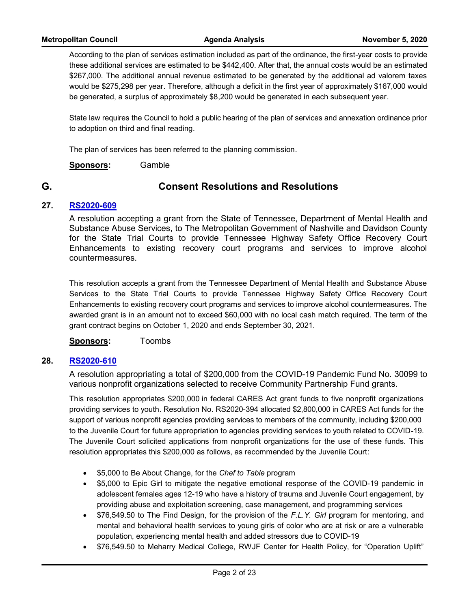According to the plan of services estimation included as part of the ordinance, the first-year costs to provide these additional services are estimated to be \$442,400. After that, the annual costs would be an estimated \$267,000. The additional annual revenue estimated to be generated by the additional ad valorem taxes would be \$275,298 per year. Therefore, although a deficit in the first year of approximately \$167,000 would be generated, a surplus of approximately \$8,200 would be generated in each subsequent year.

State law requires the Council to hold a public hearing of the plan of services and annexation ordinance prior to adoption on third and final reading.

The plan of services has been referred to the planning commission.

**Sponsors:** Gamble

# **G. Consent Resolutions and Resolutions**

#### **27. [RS2020-609](http://nashville.legistar.com/gateway.aspx?m=l&id=/matter.aspx?key=1522)**

A resolution accepting a grant from the State of Tennessee, Department of Mental Health and Substance Abuse Services, to The Metropolitan Government of Nashville and Davidson County for the State Trial Courts to provide Tennessee Highway Safety Office Recovery Court Enhancements to existing recovery court programs and services to improve alcohol countermeasures.

This resolution accepts a grant from the Tennessee Department of Mental Health and Substance Abuse Services to the State Trial Courts to provide Tennessee Highway Safety Office Recovery Court Enhancements to existing recovery court programs and services to improve alcohol countermeasures. The awarded grant is in an amount not to exceed \$60,000 with no local cash match required. The term of the grant contract begins on October 1, 2020 and ends September 30, 2021.

**Sponsors:** Toombs

#### **28. [RS2020-610](http://nashville.legistar.com/gateway.aspx?m=l&id=/matter.aspx?key=1536)**

A resolution appropriating a total of \$200,000 from the COVID-19 Pandemic Fund No. 30099 to various nonprofit organizations selected to receive Community Partnership Fund grants.

This resolution appropriates \$200,000 in federal CARES Act grant funds to five nonprofit organizations providing services to youth. Resolution No. RS2020-394 allocated \$2,800,000 in CARES Act funds for the support of various nonprofit agencies providing services to members of the community, including \$200,000 to the Juvenile Court for future appropriation to agencies providing services to youth related to COVID-19. The Juvenile Court solicited applications from nonprofit organizations for the use of these funds. This resolution appropriates this \$200,000 as follows, as recommended by the Juvenile Court:

- · \$5,000 to Be About Change, for the *Chef to Table* program
- · \$5,000 to Epic Girl to mitigate the negative emotional response of the COVID-19 pandemic in adolescent females ages 12-19 who have a history of trauma and Juvenile Court engagement, by providing abuse and exploitation screening, case management, and programming services
- · \$76,549.50 to The Find Design, for the provision of the *F.L.Y. Girl* program for mentoring, and mental and behavioral health services to young girls of color who are at risk or are a vulnerable population, experiencing mental health and added stressors due to COVID-19
- · \$76,549.50 to Meharry Medical College, RWJF Center for Health Policy, for "Operation Uplift"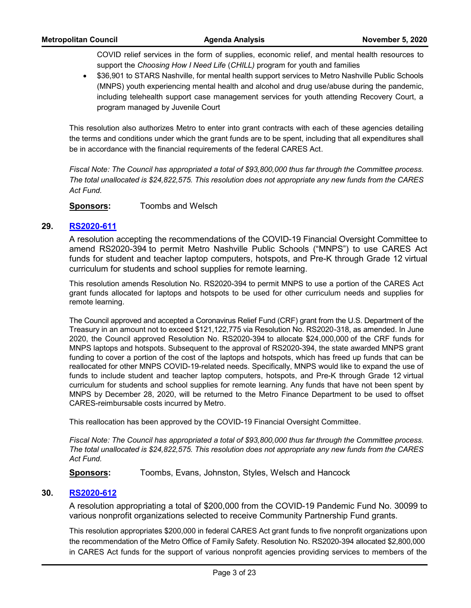COVID relief services in the form of supplies, economic relief, and mental health resources to support the *Choosing How I Need Life* (*CHILL)* program for youth and families

· \$36,901 to STARS Nashville, for mental health support services to Metro Nashville Public Schools (MNPS) youth experiencing mental health and alcohol and drug use/abuse during the pandemic, including telehealth support case management services for youth attending Recovery Court, a program managed by Juvenile Court

This resolution also authorizes Metro to enter into grant contracts with each of these agencies detailing the terms and conditions under which the grant funds are to be spent, including that all expenditures shall be in accordance with the financial requirements of the federal CARES Act.

*Fiscal Note: The Council has appropriated a total of \$93,800,000 thus far through the Committee process. The total unallocated is \$24,822,575. This resolution does not appropriate any new funds from the CARES Act Fund.*

**Sponsors:** Toombs and Welsch

### **29. [RS2020-611](http://nashville.legistar.com/gateway.aspx?m=l&id=/matter.aspx?key=1550)**

A resolution accepting the recommendations of the COVID-19 Financial Oversight Committee to amend RS2020-394 to permit Metro Nashville Public Schools ("MNPS") to use CARES Act funds for student and teacher laptop computers, hotspots, and Pre-K through Grade 12 virtual curriculum for students and school supplies for remote learning.

This resolution amends Resolution No. RS2020-394 to permit MNPS to use a portion of the CARES Act grant funds allocated for laptops and hotspots to be used for other curriculum needs and supplies for remote learning.

The Council approved and accepted a Coronavirus Relief Fund (CRF) grant from the U.S. Department of the Treasury in an amount not to exceed \$121,122,775 via Resolution No. RS2020-318, as amended. In June 2020, the Council approved Resolution No. RS2020-394 to allocate \$24,000,000 of the CRF funds for MNPS laptops and hotspots. Subsequent to the approval of RS2020-394, the state awarded MNPS grant funding to cover a portion of the cost of the laptops and hotspots, which has freed up funds that can be reallocated for other MNPS COVID-19-related needs. Specifically, MNPS would like to expand the use of funds to include student and teacher laptop computers, hotspots, and Pre-K through Grade 12 virtual curriculum for students and school supplies for remote learning. Any funds that have not been spent by MNPS by December 28, 2020, will be returned to the Metro Finance Department to be used to offset CARES-reimbursable costs incurred by Metro.

This reallocation has been approved by the COVID-19 Financial Oversight Committee.

*Fiscal Note: The Council has appropriated a total of \$93,800,000 thus far through the Committee process. The total unallocated is \$24,822,575. This resolution does not appropriate any new funds from the CARES Act Fund.*

**Sponsors:** Toombs, Evans, Johnston, Styles, Welsch and Hancock

#### **30. [RS2020-612](http://nashville.legistar.com/gateway.aspx?m=l&id=/matter.aspx?key=1535)**

A resolution appropriating a total of \$200,000 from the COVID-19 Pandemic Fund No. 30099 to various nonprofit organizations selected to receive Community Partnership Fund grants.

This resolution appropriates \$200,000 in federal CARES Act grant funds to five nonprofit organizations upon the recommendation of the Metro Office of Family Safety. Resolution No. RS2020-394 allocated \$2,800,000 in CARES Act funds for the support of various nonprofit agencies providing services to members of the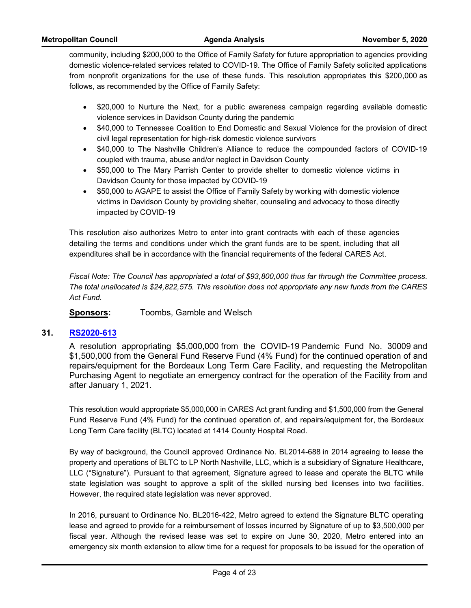community, including \$200,000 to the Office of Family Safety for future appropriation to agencies providing domestic violence-related services related to COVID-19. The Office of Family Safety solicited applications from nonprofit organizations for the use of these funds. This resolution appropriates this \$200,000 as follows, as recommended by the Office of Family Safety:

- · \$20,000 to Nurture the Next, for a public awareness campaign regarding available domestic violence services in Davidson County during the pandemic
- · \$40,000 to Tennessee Coalition to End Domestic and Sexual Violence for the provision of direct civil legal representation for high-risk domestic violence survivors
- · \$40,000 to The Nashville Children's Alliance to reduce the compounded factors of COVID-19 coupled with trauma, abuse and/or neglect in Davidson County
- · \$50,000 to The Mary Parrish Center to provide shelter to domestic violence victims in Davidson County for those impacted by COVID-19
- · \$50,000 to AGAPE to assist the Office of Family Safety by working with domestic violence victims in Davidson County by providing shelter, counseling and advocacy to those directly impacted by COVID-19

This resolution also authorizes Metro to enter into grant contracts with each of these agencies detailing the terms and conditions under which the grant funds are to be spent, including that all expenditures shall be in accordance with the financial requirements of the federal CARES Act.

*Fiscal Note: The Council has appropriated a total of \$93,800,000 thus far through the Committee process. The total unallocated is \$24,822,575. This resolution does not appropriate any new funds from the CARES Act Fund.*

**Sponsors:** Toombs, Gamble and Welsch

#### **31. [RS2020-613](http://nashville.legistar.com/gateway.aspx?m=l&id=/matter.aspx?key=1555)**

A resolution appropriating \$5,000,000 from the COVID-19 Pandemic Fund No. 30009 and \$1,500,000 from the General Fund Reserve Fund (4% Fund) for the continued operation of and repairs/equipment for the Bordeaux Long Term Care Facility, and requesting the Metropolitan Purchasing Agent to negotiate an emergency contract for the operation of the Facility from and after January 1, 2021.

This resolution would appropriate \$5,000,000 in CARES Act grant funding and \$1,500,000 from the General Fund Reserve Fund (4% Fund) for the continued operation of, and repairs/equipment for, the Bordeaux Long Term Care facility (BLTC) located at 1414 County Hospital Road.

By way of background, the Council approved Ordinance No. BL2014-688 in 2014 agreeing to lease the property and operations of BLTC to LP North Nashville, LLC, which is a subsidiary of Signature Healthcare, LLC ("Signature"). Pursuant to that agreement, Signature agreed to lease and operate the BLTC while state legislation was sought to approve a split of the skilled nursing bed licenses into two facilities. However, the required state legislation was never approved.

In 2016, pursuant to Ordinance No. BL2016-422, Metro agreed to extend the Signature BLTC operating lease and agreed to provide for a reimbursement of losses incurred by Signature of up to \$3,500,000 per fiscal year. Although the revised lease was set to expire on June 30, 2020, Metro entered into an emergency six month extension to allow time for a request for proposals to be issued for the operation of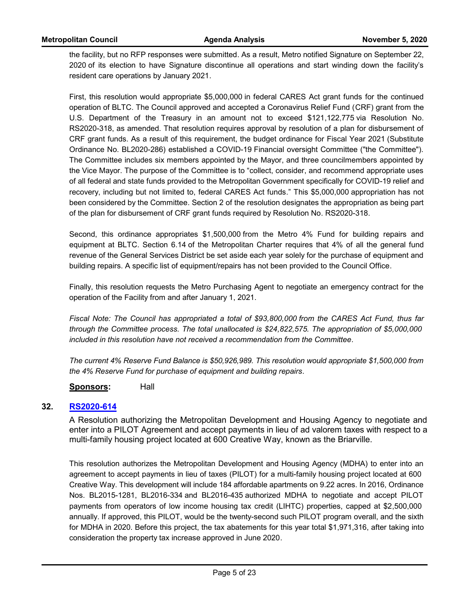the facility, but no RFP responses were submitted. As a result, Metro notified Signature on September 22, 2020 of its election to have Signature discontinue all operations and start winding down the facility's resident care operations by January 2021.

First, this resolution would appropriate \$5,000,000 in federal CARES Act grant funds for the continued operation of BLTC. The Council approved and accepted a Coronavirus Relief Fund (CRF) grant from the U.S. Department of the Treasury in an amount not to exceed \$121,122,775 via Resolution No. RS2020-318, as amended. That resolution requires approval by resolution of a plan for disbursement of CRF grant funds. As a result of this requirement, the budget ordinance for Fiscal Year 2021 (Substitute Ordinance No. BL2020-286) established a COVID-19 Financial oversight Committee ("the Committee"). The Committee includes six members appointed by the Mayor, and three councilmembers appointed by the Vice Mayor. The purpose of the Committee is to "collect, consider, and recommend appropriate uses of all federal and state funds provided to the Metropolitan Government specifically for COVID-19 relief and recovery, including but not limited to, federal CARES Act funds." This \$5,000,000 appropriation has not been considered by the Committee. Section 2 of the resolution designates the appropriation as being part of the plan for disbursement of CRF grant funds required by Resolution No. RS2020-318.

Second, this ordinance appropriates \$1,500,000 from the Metro 4% Fund for building repairs and equipment at BLTC. Section 6.14 of the Metropolitan Charter requires that 4% of all the general fund revenue of the General Services District be set aside each year solely for the purchase of equipment and building repairs. A specific list of equipment/repairs has not been provided to the Council Office.

Finally, this resolution requests the Metro Purchasing Agent to negotiate an emergency contract for the operation of the Facility from and after January 1, 2021.

*Fiscal Note: The Council has appropriated a total of \$93,800,000 from the CARES Act Fund, thus far through the Committee process. The total unallocated is \$24,822,575. The appropriation of \$5,000,000 included in this resolution have not received a recommendation from the Committee.*

*The current 4% Reserve Fund Balance is \$50,926,989. This resolution would appropriate \$1,500,000 from the 4% Reserve Fund for purchase of equipment and building repairs.*

**Sponsors:** Hall

# **32. [RS2020-614](http://nashville.legistar.com/gateway.aspx?m=l&id=/matter.aspx?key=1560)**

A Resolution authorizing the Metropolitan Development and Housing Agency to negotiate and enter into a PILOT Agreement and accept payments in lieu of ad valorem taxes with respect to a multi-family housing project located at 600 Creative Way, known as the Briarville.

This resolution authorizes the Metropolitan Development and Housing Agency (MDHA) to enter into an agreement to accept payments in lieu of taxes (PILOT) for a multi-family housing project located at 600 Creative Way. This development will include 184 affordable apartments on 9.22 acres. In 2016, Ordinance Nos. BL2015-1281, BL2016-334 and BL2016-435 authorized MDHA to negotiate and accept PILOT payments from operators of low income housing tax credit (LIHTC) properties, capped at \$2,500,000 annually. If approved, this PILOT, would be the twenty-second such PILOT program overall, and the sixth for MDHA in 2020. Before this project, the tax abatements for this year total \$1,971,316, after taking into consideration the property tax increase approved in June 2020.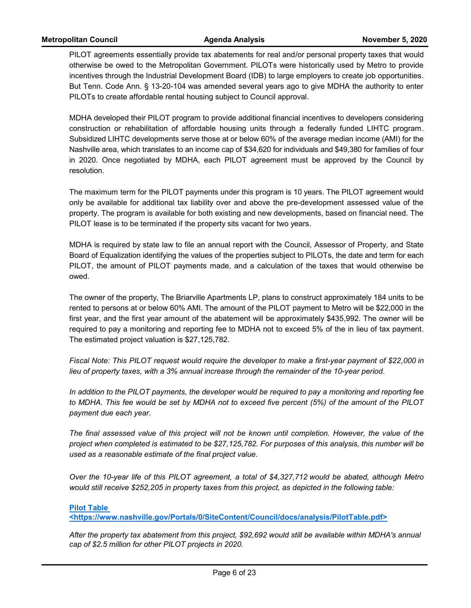PILOT agreements essentially provide tax abatements for real and/or personal property taxes that would otherwise be owed to the Metropolitan Government. PILOTs were historically used by Metro to provide incentives through the Industrial Development Board (IDB) to large employers to create job opportunities. But Tenn. Code Ann. § 13-20-104 was amended several years ago to give MDHA the authority to enter PILOTs to create affordable rental housing subject to Council approval.

MDHA developed their PILOT program to provide additional financial incentives to developers considering construction or rehabilitation of affordable housing units through a federally funded LIHTC program. Subsidized LIHTC developments serve those at or below 60% of the average median income (AMI) for the Nashville area, which translates to an income cap of \$34,620 for individuals and \$49,380 for families of four in 2020. Once negotiated by MDHA, each PILOT agreement must be approved by the Council by resolution.

The maximum term for the PILOT payments under this program is 10 years. The PILOT agreement would only be available for additional tax liability over and above the pre-development assessed value of the property. The program is available for both existing and new developments, based on financial need. The PILOT lease is to be terminated if the property sits vacant for two years.

MDHA is required by state law to file an annual report with the Council, Assessor of Property, and State Board of Equalization identifying the values of the properties subject to PILOTs, the date and term for each PILOT, the amount of PILOT payments made, and a calculation of the taxes that would otherwise be owed.

The owner of the property, The Briarville Apartments LP, plans to construct approximately 184 units to be rented to persons at or below 60% AMI. The amount of the PILOT payment to Metro will be \$22,000 in the first year, and the first year amount of the abatement will be approximately \$435,992. The owner will be required to pay a monitoring and reporting fee to MDHA not to exceed 5% of the in lieu of tax payment. The estimated project valuation is \$27,125,782.

*Fiscal Note: This PILOT request would require the developer to make a first-year payment of \$22,000 in lieu of property taxes, with a 3% annual increase through the remainder of the 10-year period.* 

*In addition to the PILOT payments, the developer would be required to pay a monitoring and reporting fee to MDHA. This fee would be set by MDHA not to exceed five percent (5%) of the amount of the PILOT payment due each year.* 

*The final assessed value of this project will not be known until completion. However, the value of the project when completed is estimated to be \$27,125,782. For purposes of this analysis, this number will be used as a reasonable estimate of the final project value.* 

*Over the 10-year life of this PILOT agreement, a total of \$4,327,712 would be abated, although Metro would still receive \$252,205 in property taxes from this project, as depicted in the following table:*

**Pilot Table** 

**<https://www.nashville.gov/Portals/0/SiteContent/Council/docs/analysis/PilotTable.pdf>**

*After the property tax abatement from this project, \$92,692 would still be available within MDHA's annual cap of \$2.5 million for other PILOT projects in 2020.*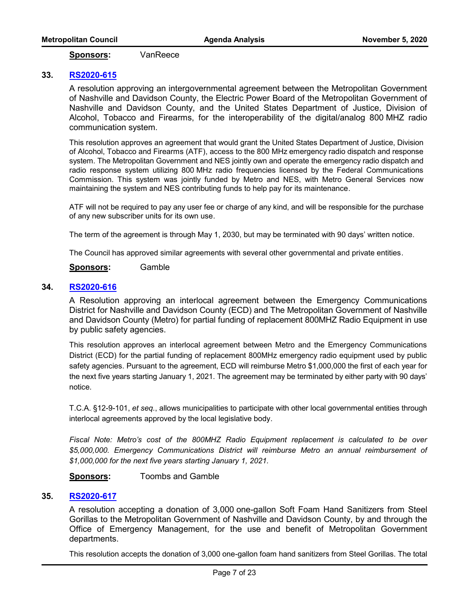**Sponsors:** VanReece

### **33. [RS2020-615](http://nashville.legistar.com/gateway.aspx?m=l&id=/matter.aspx?key=1532)**

A resolution approving an intergovernmental agreement between the Metropolitan Government of Nashville and Davidson County, the Electric Power Board of the Metropolitan Government of Nashville and Davidson County, and the United States Department of Justice, Division of Alcohol, Tobacco and Firearms, for the interoperability of the digital/analog 800 MHZ radio communication system.

This resolution approves an agreement that would grant the United States Department of Justice, Division of Alcohol, Tobacco and Firearms (ATF), access to the 800 MHz emergency radio dispatch and response system. The Metropolitan Government and NES jointly own and operate the emergency radio dispatch and radio response system utilizing 800 MHz radio frequencies licensed by the Federal Communications Commission. This system was jointly funded by Metro and NES, with Metro General Services now maintaining the system and NES contributing funds to help pay for its maintenance.

ATF will not be required to pay any user fee or charge of any kind, and will be responsible for the purchase of any new subscriber units for its own use.

The term of the agreement is through May 1, 2030, but may be terminated with 90 days' written notice.

The Council has approved similar agreements with several other governmental and private entities.

**Sponsors:** Gamble

# **34. [RS2020-616](http://nashville.legistar.com/gateway.aspx?m=l&id=/matter.aspx?key=1533)**

A Resolution approving an interlocal agreement between the Emergency Communications District for Nashville and Davidson County (ECD) and The Metropolitan Government of Nashville and Davidson County (Metro) for partial funding of replacement 800MHZ Radio Equipment in use by public safety agencies.

This resolution approves an interlocal agreement between Metro and the Emergency Communications District (ECD) for the partial funding of replacement 800MHz emergency radio equipment used by public safety agencies. Pursuant to the agreement, ECD will reimburse Metro \$1,000,000 the first of each year for the next five years starting January 1, 2021. The agreement may be terminated by either party with 90 days' notice.

T.C.A. §12-9-101, *et seq.*, allows municipalities to participate with other local governmental entities through interlocal agreements approved by the local legislative body.

*Fiscal Note: Metro's cost of the 800MHZ Radio Equipment replacement is calculated to be over \$5,000,000. Emergency Communications District will reimburse Metro an annual reimbursement of \$1,000,000 for the next five years starting January 1, 2021.* 

**Sponsors:** Toombs and Gamble

# **35. [RS2020-617](http://nashville.legistar.com/gateway.aspx?m=l&id=/matter.aspx?key=1544)**

A resolution accepting a donation of 3,000 one-gallon Soft Foam Hand Sanitizers from Steel Gorillas to the Metropolitan Government of Nashville and Davidson County, by and through the Office of Emergency Management, for the use and benefit of Metropolitan Government departments.

This resolution accepts the donation of 3,000 one-gallon foam hand sanitizers from Steel Gorillas. The total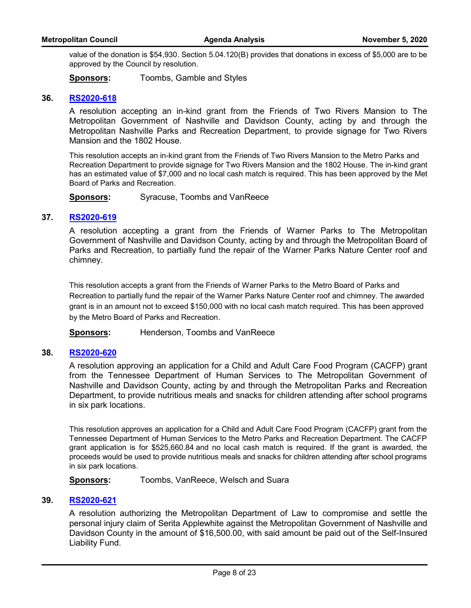value of the donation is \$54,930. Section 5.04.120(B) provides that donations in excess of \$5,000 are to be approved by the Council by resolution.

**Sponsors:** Toombs, Gamble and Styles

### **36. [RS2020-618](http://nashville.legistar.com/gateway.aspx?m=l&id=/matter.aspx?key=1543)**

A resolution accepting an in-kind grant from the Friends of Two Rivers Mansion to The Metropolitan Government of Nashville and Davidson County, acting by and through the Metropolitan Nashville Parks and Recreation Department, to provide signage for Two Rivers Mansion and the 1802 House.

This resolution accepts an in-kind grant from the Friends of Two Rivers Mansion to the Metro Parks and Recreation Department to provide signage for Two Rivers Mansion and the 1802 House. The in-kind grant has an estimated value of \$7,000 and no local cash match is required. This has been approved by the Met Board of Parks and Recreation.

**Sponsors:** Syracuse, Toombs and VanReece

### **37. [RS2020-619](http://nashville.legistar.com/gateway.aspx?m=l&id=/matter.aspx?key=1545)**

A resolution accepting a grant from the Friends of Warner Parks to The Metropolitan Government of Nashville and Davidson County, acting by and through the Metropolitan Board of Parks and Recreation, to partially fund the repair of the Warner Parks Nature Center roof and chimney.

This resolution accepts a grant from the Friends of Warner Parks to the Metro Board of Parks and Recreation to partially fund the repair of the Warner Parks Nature Center roof and chimney. The awarded grant is in an amount not to exceed \$150,000 with no local cash match required. This has been approved by the Metro Board of Parks and Recreation.

**Sponsors:** Henderson, Toombs and VanReece

#### **38. [RS2020-620](http://nashville.legistar.com/gateway.aspx?m=l&id=/matter.aspx?key=1540)**

A resolution approving an application for a Child and Adult Care Food Program (CACFP) grant from the Tennessee Department of Human Services to The Metropolitan Government of Nashville and Davidson County, acting by and through the Metropolitan Parks and Recreation Department, to provide nutritious meals and snacks for children attending after school programs in six park locations.

This resolution approves an application for a Child and Adult Care Food Program (CACFP) grant from the Tennessee Department of Human Services to the Metro Parks and Recreation Department. The CACFP grant application is for \$525,660.84 and no local cash match is required. If the grant is awarded, the proceeds would be used to provide nutritious meals and snacks for children attending after school programs in six park locations.

**Sponsors:** Toombs, VanReece, Welsch and Suara

### **39. [RS2020-621](http://nashville.legistar.com/gateway.aspx?m=l&id=/matter.aspx?key=1553)**

A resolution authorizing the Metropolitan Department of Law to compromise and settle the personal injury claim of Serita Applewhite against the Metropolitan Government of Nashville and Davidson County in the amount of \$16,500.00, with said amount be paid out of the Self-Insured Liability Fund.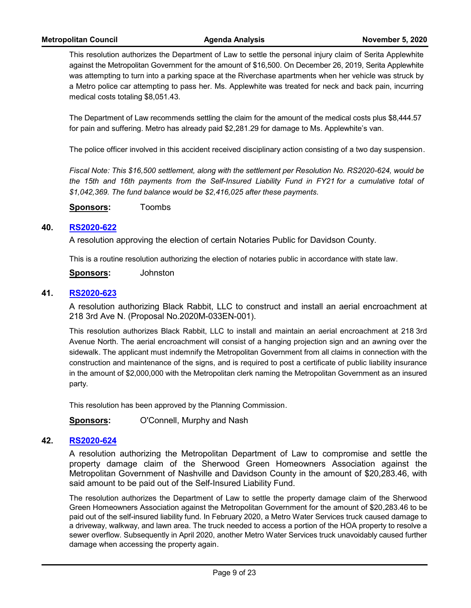This resolution authorizes the Department of Law to settle the personal injury claim of Serita Applewhite against the Metropolitan Government for the amount of \$16,500. On December 26, 2019, Serita Applewhite was attempting to turn into a parking space at the Riverchase apartments when her vehicle was struck by a Metro police car attempting to pass her. Ms. Applewhite was treated for neck and back pain, incurring medical costs totaling \$8,051.43.

The Department of Law recommends settling the claim for the amount of the medical costs plus \$8,444.57 for pain and suffering. Metro has already paid \$2,281.29 for damage to Ms. Applewhite's van.

The police officer involved in this accident received disciplinary action consisting of a two day suspension.

*Fiscal Note: This \$16,500 settlement, along with the settlement per Resolution No. RS2020-624, would be*  the 15th and 16th payments from the Self-Insured Liability Fund in FY21 for a cumulative total of *\$1,042,369. The fund balance would be \$2,416,025 after these payments.*

**Sponsors:** Toombs

#### **40. [RS2020-622](http://nashville.legistar.com/gateway.aspx?m=l&id=/matter.aspx?key=1564)**

A resolution approving the election of certain Notaries Public for Davidson County.

This is a routine resolution authorizing the election of notaries public in accordance with state law.

**Sponsors:** Johnston

#### **41. [RS2020-623](http://nashville.legistar.com/gateway.aspx?m=l&id=/matter.aspx?key=1531)**

A resolution authorizing Black Rabbit, LLC to construct and install an aerial encroachment at 218 3rd Ave N. (Proposal No.2020M-033EN-001).

This resolution authorizes Black Rabbit, LLC to install and maintain an aerial encroachment at 218 3rd Avenue North. The aerial encroachment will consist of a hanging projection sign and an awning over the sidewalk. The applicant must indemnify the Metropolitan Government from all claims in connection with the construction and maintenance of the signs, and is required to post a certificate of public liability insurance in the amount of \$2,000,000 with the Metropolitan clerk naming the Metropolitan Government as an insured party.

This resolution has been approved by the Planning Commission.

**Sponsors:** O'Connell, Murphy and Nash

#### **42. [RS2020-624](http://nashville.legistar.com/gateway.aspx?m=l&id=/matter.aspx?key=1554)**

A resolution authorizing the Metropolitan Department of Law to compromise and settle the property damage claim of the Sherwood Green Homeowners Association against the Metropolitan Government of Nashville and Davidson County in the amount of \$20,283.46, with said amount to be paid out of the Self-Insured Liability Fund.

The resolution authorizes the Department of Law to settle the property damage claim of the Sherwood Green Homeowners Association against the Metropolitan Government for the amount of \$20,283.46 to be paid out of the self-insured liability fund. In February 2020, a Metro Water Services truck caused damage to a driveway, walkway, and lawn area. The truck needed to access a portion of the HOA property to resolve a sewer overflow. Subsequently in April 2020, another Metro Water Services truck unavoidably caused further damage when accessing the property again.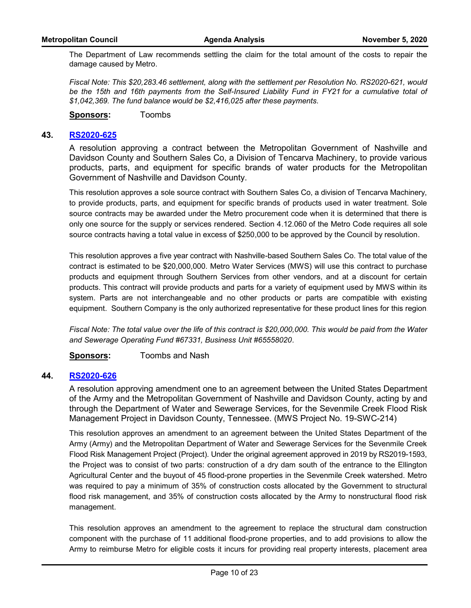The Department of Law recommends settling the claim for the total amount of the costs to repair the damage caused by Metro.

*Fiscal Note: This \$20,283.46 settlement, along with the settlement per Resolution No. RS2020-621, would*  be the 15th and 16th payments from the Self-Insured Liability Fund in FY21 for a cumulative total of *\$1,042,369. The fund balance would be \$2,416,025 after these payments.*

**Sponsors:** Toombs

### **43. [RS2020-625](http://nashville.legistar.com/gateway.aspx?m=l&id=/matter.aspx?key=1534)**

A resolution approving a contract between the Metropolitan Government of Nashville and Davidson County and Southern Sales Co, a Division of Tencarva Machinery, to provide various products, parts, and equipment for specific brands of water products for the Metropolitan Government of Nashville and Davidson County.

This resolution approves a sole source contract with Southern Sales Co, a division of Tencarva Machinery, to provide products, parts, and equipment for specific brands of products used in water treatment. Sole source contracts may be awarded under the Metro procurement code when it is determined that there is only one source for the supply or services rendered. Section 4.12.060 of the Metro Code requires all sole source contracts having a total value in excess of \$250,000 to be approved by the Council by resolution.

This resolution approves a five year contract with Nashville-based Southern Sales Co. The total value of the contract is estimated to be \$20,000,000. Metro Water Services (MWS) will use this contract to purchase products and equipment through Southern Services from other vendors, and at a discount for certain products. This contract will provide products and parts for a variety of equipment used by MWS within its system. Parts are not interchangeable and no other products or parts are compatible with existing equipment. Southern Company is the only authorized representative for these product lines for this region.

*Fiscal Note: The total value over the life of this contract is \$20,000,000. This would be paid from the Water and Sewerage Operating Fund #67331, Business Unit #65558020.*

**Sponsors:** Toombs and Nash

#### **44. [RS2020-626](http://nashville.legistar.com/gateway.aspx?m=l&id=/matter.aspx?key=1539)**

A resolution approving amendment one to an agreement between the United States Department of the Army and the Metropolitan Government of Nashville and Davidson County, acting by and through the Department of Water and Sewerage Services, for the Sevenmile Creek Flood Risk Management Project in Davidson County, Tennessee. (MWS Project No. 19-SWC-214)

This resolution approves an amendment to an agreement between the United States Department of the Army (Army) and the Metropolitan Department of Water and Sewerage Services for the Sevenmile Creek Flood Risk Management Project (Project). Under the original agreement approved in 2019 by RS2019-1593, the Project was to consist of two parts: construction of a dry dam south of the entrance to the Ellington Agricultural Center and the buyout of 45 flood-prone properties in the Sevenmile Creek watershed. Metro was required to pay a minimum of 35% of construction costs allocated by the Government to structural flood risk management, and 35% of construction costs allocated by the Army to nonstructural flood risk management.

This resolution approves an amendment to the agreement to replace the structural dam construction component with the purchase of 11 additional flood-prone properties, and to add provisions to allow the Army to reimburse Metro for eligible costs it incurs for providing real property interests, placement area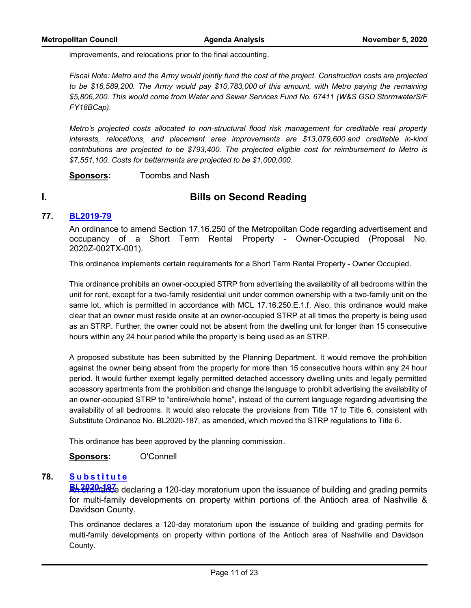improvements, and relocations prior to the final accounting.

*Fiscal Note: Metro and the Army would jointly fund the cost of the project. Construction costs are projected to be \$16,589,200. The Army would pay \$10,783,000 of this amount, with Metro paying the remaining \$5,806,200. This would come from Water and Sewer Services Fund No. 67411 (W&S GSD StormwaterS/F FY18BCap).* 

*Metro's projected costs allocated to non-structural flood risk management for creditable real property interests, relocations, and placement area improvements are \$13,079,600 and creditable in-kind contributions are projected to be \$793,400. The projected eligible cost for reimbursement to Metro is \$7,551,100. Costs for betterments are projected to be \$1,000,000.* 

**Sponsors:** Toombs and Nash

# **I. Bills on Second Reading**

# **77. [BL2019-79](http://nashville.legistar.com/gateway.aspx?m=l&id=/matter.aspx?key=1301)**

An ordinance to amend Section 17.16.250 of the Metropolitan Code regarding advertisement and occupancy of a Short Term Rental Property - Owner-Occupied (Proposal No. 2020Z-002TX-001).

This ordinance implements certain requirements for a Short Term Rental Property - Owner Occupied.

This ordinance prohibits an owner-occupied STRP from advertising the availability of all bedrooms within the unit for rent, except for a two-family residential unit under common ownership with a two-family unit on the same lot, which is permitted in accordance with MCL 17.16.250.E.1.f. Also, this ordinance would make clear that an owner must reside onsite at an owner-occupied STRP at all times the property is being used as an STRP. Further, the owner could not be absent from the dwelling unit for longer than 15 consecutive hours within any 24 hour period while the property is being used as an STRP.

A proposed substitute has been submitted by the Planning Department. It would remove the prohibition against the owner being absent from the property for more than 15 consecutive hours within any 24 hour period. It would further exempt legally permitted detached accessory dwelling units and legally permitted accessory apartments from the prohibition and change the language to prohibit advertising the availability of an owner-occupied STRP to "entire/whole home", instead of the current language regarding advertising the availability of all bedrooms. It would also relocate the provisions from Title 17 to Title 6, consistent with Substitute Ordinance No. BL2020-187, as amended, which moved the STRP regulations to Title 6.

This ordinance has been approved by the planning commission.

**Sponsors:** O'Connell

#### **[S u b s t i t u t e](http://nashville.legistar.com/gateway.aspx?m=l&id=/matter.aspx?key=1300) 78.**

**BL2020-197**⁄e declaring a 120-day moratorium upon the issuance of building and grading permits for multi-family developments on property within portions of the Antioch area of Nashville & Davidson County.

This ordinance declares a 120-day moratorium upon the issuance of building and grading permits for multi-family developments on property within portions of the Antioch area of Nashville and Davidson County.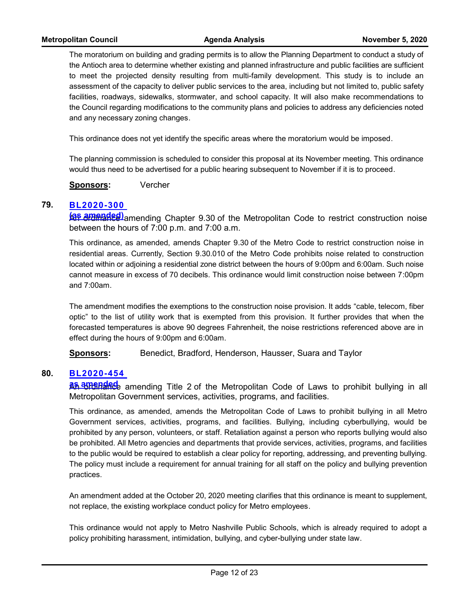The moratorium on building and grading permits is to allow the Planning Department to conduct a study of the Antioch area to determine whether existing and planned infrastructure and public facilities are sufficient to meet the projected density resulting from multi-family development. This study is to include an assessment of the capacity to deliver public services to the area, including but not limited to, public safety facilities, roadways, sidewalks, stormwater, and school capacity. It will also make recommendations to the Council regarding modifications to the community plans and policies to address any deficiencies noted and any necessary zoning changes.

This ordinance does not yet identify the specific areas where the moratorium would be imposed.

The planning commission is scheduled to consider this proposal at its November meeting. This ordinance would thus need to be advertised for a public hearing subsequent to November if it is to proceed.

**Sponsors:** Vercher

#### **[BL2020-300](http://nashville.legistar.com/gateway.aspx?m=l&id=/matter.aspx?key=1302)  79.**

**GS amended)** amending Chapter 9.30 of the Metropolitan Code to restrict construction noise between the hours of 7:00 p.m. and 7:00 a.m.

This ordinance, as amended, amends Chapter 9.30 of the Metro Code to restrict construction noise in residential areas. Currently, Section 9.30.010 of the Metro Code prohibits noise related to construction located within or adjoining a residential zone district between the hours of 9:00pm and 6:00am. Such noise cannot measure in excess of 70 decibels. This ordinance would limit construction noise between 7:00pm and 7:00am.

The amendment modifies the exemptions to the construction noise provision. It adds "cable, telecom, fiber optic" to the list of utility work that is exempted from this provision. It further provides that when the forecasted temperatures is above 90 degrees Fahrenheit, the noise restrictions referenced above are in effect during the hours of 9:00pm and 6:00am.

**Sponsors:** Benedict, Bradford, Henderson, Hausser, Suara and Taylor

#### **[BL2020-454](http://nashville.legistar.com/gateway.aspx?m=l&id=/matter.aspx?key=1383)  80.**

**An amending** Title 2 of the Metropolitan Code of Laws to prohibit bullying in all Metropolitan Government services, activities, programs, and facilities.

This ordinance, as amended, amends the Metropolitan Code of Laws to prohibit bullying in all Metro Government services, activities, programs, and facilities. Bullying, including cyberbullying, would be prohibited by any person, volunteers, or staff. Retaliation against a person who reports bullying would also be prohibited. All Metro agencies and departments that provide services, activities, programs, and facilities to the public would be required to establish a clear policy for reporting, addressing, and preventing bullying. The policy must include a requirement for annual training for all staff on the policy and bullying prevention practices.

An amendment added at the October 20, 2020 meeting clarifies that this ordinance is meant to supplement, not replace, the existing workplace conduct policy for Metro employees.

This ordinance would not apply to Metro Nashville Public Schools, which is already required to adopt a policy prohibiting harassment, intimidation, bullying, and cyber-bullying under state law.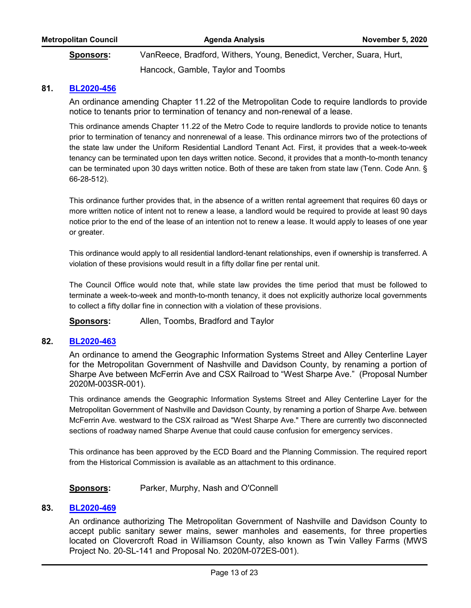| <b>Metropolitan Council</b> | Agenda Analysis                                                     | <b>November 5, 2020</b> |
|-----------------------------|---------------------------------------------------------------------|-------------------------|
| Sponsors:                   | VanReece, Bradford, Withers, Young, Benedict, Vercher, Suara, Hurt, |                         |
|                             | Hancock, Gamble, Taylor and Toombs                                  |                         |

## **81. [BL2020-456](http://nashville.legistar.com/gateway.aspx?m=l&id=/matter.aspx?key=1380)**

An ordinance amending Chapter 11.22 of the Metropolitan Code to require landlords to provide notice to tenants prior to termination of tenancy and non-renewal of a lease.

This ordinance amends Chapter 11.22 of the Metro Code to require landlords to provide notice to tenants prior to termination of tenancy and nonrenewal of a lease. This ordinance mirrors two of the protections of the state law under the Uniform Residential Landlord Tenant Act. First, it provides that a week-to-week tenancy can be terminated upon ten days written notice. Second, it provides that a month-to-month tenancy can be terminated upon 30 days written notice. Both of these are taken from state law (Tenn. Code Ann. § 66-28-512).

This ordinance further provides that, in the absence of a written rental agreement that requires 60 days or more written notice of intent not to renew a lease, a landlord would be required to provide at least 90 days notice prior to the end of the lease of an intention not to renew a lease. It would apply to leases of one year or greater.

This ordinance would apply to all residential landlord-tenant relationships, even if ownership is transferred. A violation of these provisions would result in a fifty dollar fine per rental unit.

The Council Office would note that, while state law provides the time period that must be followed to terminate a week-to-week and month-to-month tenancy, it does not explicitly authorize local governments to collect a fifty dollar fine in connection with a violation of these provisions.

**Sponsors:** Allen, Toombs, Bradford and Taylor

# **82. [BL2020-463](http://nashville.legistar.com/gateway.aspx?m=l&id=/matter.aspx?key=1387)**

An ordinance to amend the Geographic Information Systems Street and Alley Centerline Layer for the Metropolitan Government of Nashville and Davidson County, by renaming a portion of Sharpe Ave between McFerrin Ave and CSX Railroad to "West Sharpe Ave." (Proposal Number 2020M-003SR-001).

This ordinance amends the Geographic Information Systems Street and Alley Centerline Layer for the Metropolitan Government of Nashville and Davidson County, by renaming a portion of Sharpe Ave. between McFerrin Ave. westward to the CSX railroad as "West Sharpe Ave." There are currently two disconnected sections of roadway named Sharpe Avenue that could cause confusion for emergency services.

This ordinance has been approved by the ECD Board and the Planning Commission. The required report from the Historical Commission is available as an attachment to this ordinance.

#### **Sponsors:** Parker, Murphy, Nash and O'Connell

#### **83. [BL2020-469](http://nashville.legistar.com/gateway.aspx?m=l&id=/matter.aspx?key=1379)**

An ordinance authorizing The Metropolitan Government of Nashville and Davidson County to accept public sanitary sewer mains, sewer manholes and easements, for three properties located on Clovercroft Road in Williamson County, also known as Twin Valley Farms (MWS Project No. 20-SL-141 and Proposal No. 2020M-072ES-001).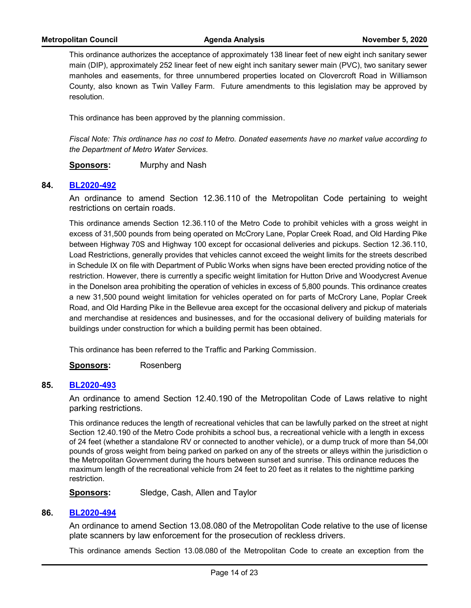This ordinance authorizes the acceptance of approximately 138 linear feet of new eight inch sanitary sewer main (DIP), approximately 252 linear feet of new eight inch sanitary sewer main (PVC), two sanitary sewer manholes and easements, for three unnumbered properties located on Clovercroft Road in Williamson County, also known as Twin Valley Farm. Future amendments to this legislation may be approved by resolution.

This ordinance has been approved by the planning commission.

*Fiscal Note: This ordinance has no cost to Metro. Donated easements have no market value according to the Department of Metro Water Services.*

**Sponsors:** Murphy and Nash

## **84. [BL2020-492](http://nashville.legistar.com/gateway.aspx?m=l&id=/matter.aspx?key=1520)**

An ordinance to amend Section 12.36.110 of the Metropolitan Code pertaining to weight restrictions on certain roads.

This ordinance amends Section 12.36.110 of the Metro Code to prohibit vehicles with a gross weight in excess of 31,500 pounds from being operated on McCrory Lane, Poplar Creek Road, and Old Harding Pike between Highway 70S and Highway 100 except for occasional deliveries and pickups. Section 12.36.110, Load Restrictions, generally provides that vehicles cannot exceed the weight limits for the streets described in Schedule IX on file with Department of Public Works when signs have been erected providing notice of the restriction. However, there is currently a specific weight limitation for Hutton Drive and Woodycrest Avenue in the Donelson area prohibiting the operation of vehicles in excess of 5,800 pounds. This ordinance creates a new 31,500 pound weight limitation for vehicles operated on for parts of McCrory Lane, Poplar Creek Road, and Old Harding Pike in the Bellevue area except for the occasional delivery and pickup of materials and merchandise at residences and businesses, and for the occasional delivery of building materials for buildings under construction for which a building permit has been obtained.

This ordinance has been referred to the Traffic and Parking Commission.

**Sponsors:** Rosenberg

#### **85. [BL2020-493](http://nashville.legistar.com/gateway.aspx?m=l&id=/matter.aspx?key=1489)**

An ordinance to amend Section 12.40.190 of the Metropolitan Code of Laws relative to night parking restrictions.

This ordinance reduces the length of recreational vehicles that can be lawfully parked on the street at night. Section 12.40.190 of the Metro Code prohibits a school bus, a recreational vehicle with a length in excess of 24 feet (whether a standalone RV or connected to another vehicle), or a dump truck of more than 54,000 pounds of gross weight from being parked on parked on any of the streets or alleys within the jurisdiction o the Metropolitan Government during the hours between sunset and sunrise. This ordinance reduces the maximum length of the recreational vehicle from 24 feet to 20 feet as it relates to the nighttime parking restriction.

**Sponsors:** Sledge, Cash, Allen and Taylor

#### **86. [BL2020-494](http://nashville.legistar.com/gateway.aspx?m=l&id=/matter.aspx?key=1518)**

An ordinance to amend Section 13.08.080 of the Metropolitan Code relative to the use of license plate scanners by law enforcement for the prosecution of reckless drivers.

This ordinance amends Section 13.08.080 of the Metropolitan Code to create an exception from the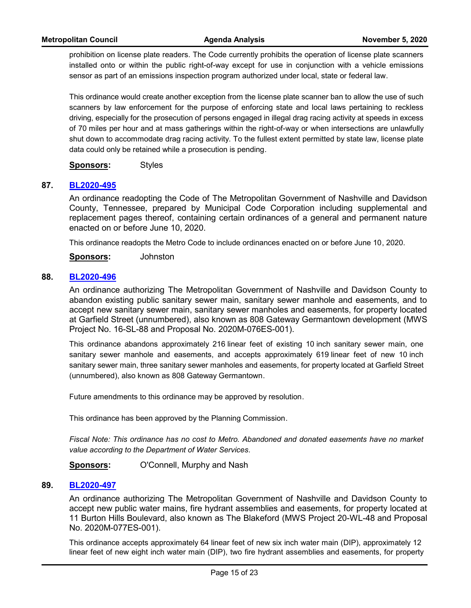prohibition on license plate readers. The Code currently prohibits the operation of license plate scanners installed onto or within the public right-of-way except for use in conjunction with a vehicle emissions sensor as part of an emissions inspection program authorized under local, state or federal law.

This ordinance would create another exception from the license plate scanner ban to allow the use of such scanners by law enforcement for the purpose of enforcing state and local laws pertaining to reckless driving, especially for the prosecution of persons engaged in illegal drag racing activity at speeds in excess of 70 miles per hour and at mass gatherings within the right-of-way or when intersections are unlawfully shut down to accommodate drag racing activity. To the fullest extent permitted by state law, license plate data could only be retained while a prosecution is pending.

**Sponsors:** Styles

#### **87. [BL2020-495](http://nashville.legistar.com/gateway.aspx?m=l&id=/matter.aspx?key=1493)**

An ordinance readopting the Code of The Metropolitan Government of Nashville and Davidson County, Tennessee, prepared by Municipal Code Corporation including supplemental and replacement pages thereof, containing certain ordinances of a general and permanent nature enacted on or before June 10, 2020.

This ordinance readopts the Metro Code to include ordinances enacted on or before June 10, 2020.

**Sponsors:** Johnston

#### **88. [BL2020-496](http://nashville.legistar.com/gateway.aspx?m=l&id=/matter.aspx?key=1502)**

An ordinance authorizing The Metropolitan Government of Nashville and Davidson County to abandon existing public sanitary sewer main, sanitary sewer manhole and easements, and to accept new sanitary sewer main, sanitary sewer manholes and easements, for property located at Garfield Street (unnumbered), also known as 808 Gateway Germantown development (MWS Project No. 16-SL-88 and Proposal No. 2020M-076ES-001).

This ordinance abandons approximately 216 linear feet of existing 10 inch sanitary sewer main, one sanitary sewer manhole and easements, and accepts approximately 619 linear feet of new 10 inch sanitary sewer main, three sanitary sewer manholes and easements, for property located at Garfield Street (unnumbered), also known as 808 Gateway Germantown.

Future amendments to this ordinance may be approved by resolution.

This ordinance has been approved by the Planning Commission.

*Fiscal Note: This ordinance has no cost to Metro. Abandoned and donated easements have no market value according to the Department of Water Services.*

**Sponsors:** O'Connell, Murphy and Nash

#### **89. [BL2020-497](http://nashville.legistar.com/gateway.aspx?m=l&id=/matter.aspx?key=1504)**

An ordinance authorizing The Metropolitan Government of Nashville and Davidson County to accept new public water mains, fire hydrant assemblies and easements, for property located at 11 Burton Hills Boulevard, also known as The Blakeford (MWS Project 20-WL-48 and Proposal No. 2020M-077ES-001).

This ordinance accepts approximately 64 linear feet of new six inch water main (DIP), approximately 12 linear feet of new eight inch water main (DIP), two fire hydrant assemblies and easements, for property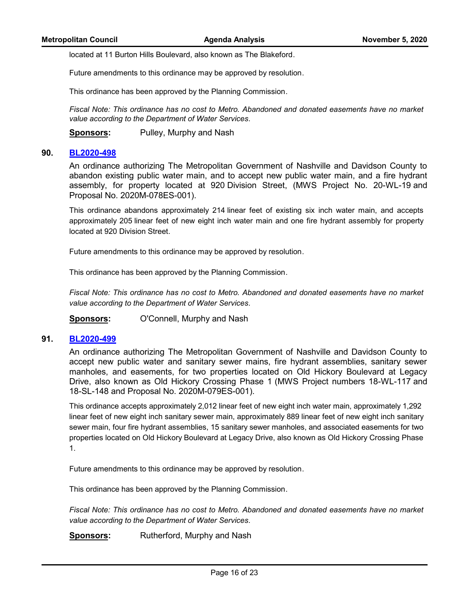located at 11 Burton Hills Boulevard, also known as The Blakeford.

Future amendments to this ordinance may be approved by resolution.

This ordinance has been approved by the Planning Commission.

*Fiscal Note: This ordinance has no cost to Metro. Abandoned and donated easements have no market value according to the Department of Water Services.*

**Sponsors:** Pulley, Murphy and Nash

#### **90. [BL2020-498](http://nashville.legistar.com/gateway.aspx?m=l&id=/matter.aspx?key=1505)**

An ordinance authorizing The Metropolitan Government of Nashville and Davidson County to abandon existing public water main, and to accept new public water main, and a fire hydrant assembly, for property located at 920 Division Street, (MWS Project No. 20-WL-19 and Proposal No. 2020M-078ES-001).

This ordinance abandons approximately 214 linear feet of existing six inch water main, and accepts approximately 205 linear feet of new eight inch water main and one fire hydrant assembly for property located at 920 Division Street.

Future amendments to this ordinance may be approved by resolution.

This ordinance has been approved by the Planning Commission.

*Fiscal Note: This ordinance has no cost to Metro. Abandoned and donated easements have no market value according to the Department of Water Services.*

**Sponsors:** O'Connell, Murphy and Nash

#### **91. [BL2020-499](http://nashville.legistar.com/gateway.aspx?m=l&id=/matter.aspx?key=1506)**

An ordinance authorizing The Metropolitan Government of Nashville and Davidson County to accept new public water and sanitary sewer mains, fire hydrant assemblies, sanitary sewer manholes, and easements, for two properties located on Old Hickory Boulevard at Legacy Drive, also known as Old Hickory Crossing Phase 1 (MWS Project numbers 18-WL-117 and 18-SL-148 and Proposal No. 2020M-079ES-001).

This ordinance accepts approximately 2,012 linear feet of new eight inch water main, approximately 1,292 linear feet of new eight inch sanitary sewer main, approximately 889 linear feet of new eight inch sanitary sewer main, four fire hydrant assemblies, 15 sanitary sewer manholes, and associated easements for two properties located on Old Hickory Boulevard at Legacy Drive, also known as Old Hickory Crossing Phase 1.

Future amendments to this ordinance may be approved by resolution.

This ordinance has been approved by the Planning Commission.

*Fiscal Note: This ordinance has no cost to Metro. Abandoned and donated easements have no market value according to the Department of Water Services.*

**Sponsors:** Rutherford, Murphy and Nash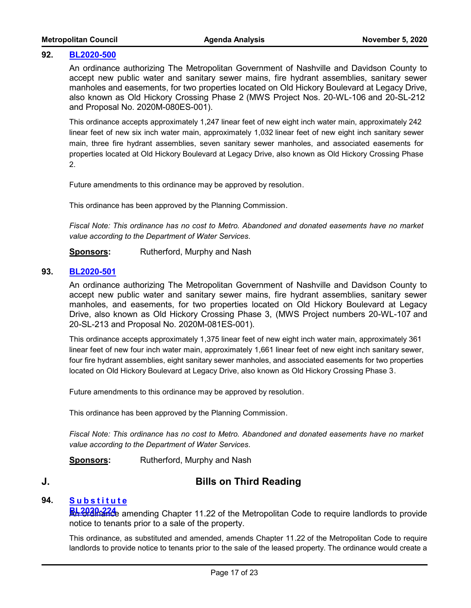#### **92. [BL2020-500](http://nashville.legistar.com/gateway.aspx?m=l&id=/matter.aspx?key=1507)**

An ordinance authorizing The Metropolitan Government of Nashville and Davidson County to accept new public water and sanitary sewer mains, fire hydrant assemblies, sanitary sewer manholes and easements, for two properties located on Old Hickory Boulevard at Legacy Drive, also known as Old Hickory Crossing Phase 2 (MWS Project Nos. 20-WL-106 and 20-SL-212 and Proposal No. 2020M-080ES-001).

This ordinance accepts approximately 1,247 linear feet of new eight inch water main, approximately 242 linear feet of new six inch water main, approximately 1,032 linear feet of new eight inch sanitary sewer main, three fire hydrant assemblies, seven sanitary sewer manholes, and associated easements for properties located at Old Hickory Boulevard at Legacy Drive, also known as Old Hickory Crossing Phase 2.

Future amendments to this ordinance may be approved by resolution.

This ordinance has been approved by the Planning Commission.

*Fiscal Note: This ordinance has no cost to Metro. Abandoned and donated easements have no market value according to the Department of Water Services.*

**Sponsors:** Rutherford, Murphy and Nash

### **93. [BL2020-501](http://nashville.legistar.com/gateway.aspx?m=l&id=/matter.aspx?key=1508)**

An ordinance authorizing The Metropolitan Government of Nashville and Davidson County to accept new public water and sanitary sewer mains, fire hydrant assemblies, sanitary sewer manholes, and easements, for two properties located on Old Hickory Boulevard at Legacy Drive, also known as Old Hickory Crossing Phase 3, (MWS Project numbers 20-WL-107 and 20-SL-213 and Proposal No. 2020M-081ES-001).

This ordinance accepts approximately 1,375 linear feet of new eight inch water main, approximately 361 linear feet of new four inch water main, approximately 1,661 linear feet of new eight inch sanitary sewer, four fire hydrant assemblies, eight sanitary sewer manholes, and associated easements for two properties located on Old Hickory Boulevard at Legacy Drive, also known as Old Hickory Crossing Phase 3.

Future amendments to this ordinance may be approved by resolution.

This ordinance has been approved by the Planning Commission.

*Fiscal Note: This ordinance has no cost to Metro. Abandoned and donated easements have no market value according to the Department of Water Services.*

**Sponsors:** Rutherford, Murphy and Nash

# **J. Bills on Third Reading**

#### **[S u b s t i t u t e](http://nashville.legistar.com/gateway.aspx?m=l&id=/matter.aspx?key=1332) 94.**

**BL2020-224** amending Chapter 11.22 of the Metropolitan Code to require landlords to provide notice to tenants prior to a sale of the property.

This ordinance, as substituted and amended, amends Chapter 11.22 of the Metropolitan Code to require landlords to provide notice to tenants prior to the sale of the leased property. The ordinance would create a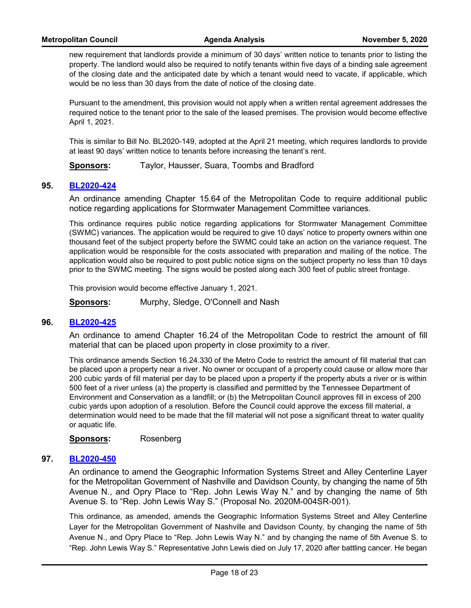new requirement that landlords provide a minimum of 30 days' written notice to tenants prior to listing the property. The landlord would also be required to notify tenants within five days of a binding sale agreement of the closing date and the anticipated date by which a tenant would need to vacate, if applicable, which would be no less than 30 days from the date of notice of the closing date.

Pursuant to the amendment, this provision would not apply when a written rental agreement addresses the required notice to the tenant prior to the sale of the leased premises. The provision would become effective April 1, 2021.

This is similar to Bill No. BL2020-149, adopted at the April 21 meeting, which requires landlords to provide at least 90 days' written notice to tenants before increasing the tenant's rent.

**Sponsors:** Taylor, Hausser, Suara, Toombs and Bradford

#### **95. [BL2020-424](http://nashville.legistar.com/gateway.aspx?m=l&id=/matter.aspx?key=1275)**

An ordinance amending Chapter 15.64 of the Metropolitan Code to require additional public notice regarding applications for Stormwater Management Committee variances.

This ordinance requires public notice regarding applications for Stormwater Management Committee (SWMC) variances. The application would be required to give 10 days' notice to property owners within one thousand feet of the subject property before the SWMC could take an action on the variance request. The application would be responsible for the costs associated with preparation and mailing of the notice. The application would also be required to post public notice signs on the subject property no less than 10 days prior to the SWMC meeting. The signs would be posted along each 300 feet of public street frontage.

This provision would become effective January 1, 2021.

**Sponsors:** Murphy, Sledge, O'Connell and Nash

#### **96. [BL2020-425](http://nashville.legistar.com/gateway.aspx?m=l&id=/matter.aspx?key=1276)**

An ordinance to amend Chapter 16.24 of the Metropolitan Code to restrict the amount of fill material that can be placed upon property in close proximity to a river.

This ordinance amends Section 16.24.330 of the Metro Code to restrict the amount of fill material that can be placed upon a property near a river. No owner or occupant of a property could cause or allow more thar 200 cubic yards of fill material per day to be placed upon a property if the property abuts a river or is within 500 feet of a river unless (a) the property is classified and permitted by the Tennessee Department of Environment and Conservation as a landfill; or (b) the Metropolitan Council approves fill in excess of 200 cubic yards upon adoption of a resolution. Before the Council could approve the excess fill material, a determination would need to be made that the fill material will not pose a significant threat to water quality or aquatic life.

**Sponsors:** Rosenberg

#### **97. [BL2020-450](http://nashville.legistar.com/gateway.aspx?m=l&id=/matter.aspx?key=1271)**

An ordinance to amend the Geographic Information Systems Street and Alley Centerline Layer for the Metropolitan Government of Nashville and Davidson County, by changing the name of 5th Avenue N., and Opry Place to "Rep. John Lewis Way N." and by changing the name of 5th Avenue S. to "Rep. John Lewis Way S." (Proposal No. 2020M-004SR-001).

This ordinance, as amended, amends the Geographic Information Systems Street and Alley Centerline Layer for the Metropolitan Government of Nashville and Davidson County, by changing the name of 5th Avenue N., and Opry Place to "Rep. John Lewis Way N." and by changing the name of 5th Avenue S. to "Rep. John Lewis Way S." Representative John Lewis died on July 17, 2020 after battling cancer. He began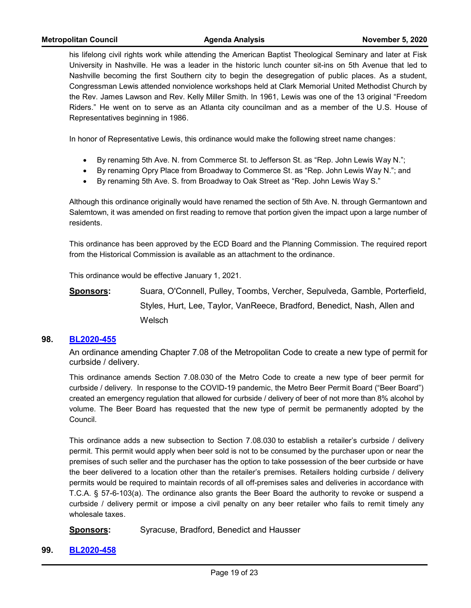his lifelong civil rights work while attending the American Baptist Theological Seminary and later at Fisk University in Nashville. He was a leader in the historic lunch counter sit-ins on 5th Avenue that led to Nashville becoming the first Southern city to begin the desegregation of public places. As a student, Congressman Lewis attended nonviolence workshops held at Clark Memorial United Methodist Church by the Rev. James Lawson and Rev. Kelly Miller Smith. In 1961, Lewis was one of the 13 original "Freedom Riders." He went on to serve as an Atlanta city councilman and as a member of the U.S. House of Representatives beginning in 1986.

In honor of Representative Lewis, this ordinance would make the following street name changes:

- · By renaming 5th Ave. N. from Commerce St. to Jefferson St. as "Rep. John Lewis Way N.";
- · By renaming Opry Place from Broadway to Commerce St. as "Rep. John Lewis Way N."; and
- · By renaming 5th Ave. S. from Broadway to Oak Street as "Rep. John Lewis Way S."

Although this ordinance originally would have renamed the section of 5th Ave. N. through Germantown and Salemtown, it was amended on first reading to remove that portion given the impact upon a large number of residents.

This ordinance has been approved by the ECD Board and the Planning Commission. The required report from the Historical Commission is available as an attachment to the ordinance.

This ordinance would be effective January 1, 2021.

**Sponsors:** Suara, O'Connell, Pulley, Toombs, Vercher, Sepulveda, Gamble, Porterfield, Styles, Hurt, Lee, Taylor, VanReece, Bradford, Benedict, Nash, Allen and Welsch

#### **98. [BL2020-455](http://nashville.legistar.com/gateway.aspx?m=l&id=/matter.aspx?key=1427)**

An ordinance amending Chapter 7.08 of the Metropolitan Code to create a new type of permit for curbside / delivery.

This ordinance amends Section 7.08.030 of the Metro Code to create a new type of beer permit for curbside / delivery. In response to the COVID-19 pandemic, the Metro Beer Permit Board ("Beer Board") created an emergency regulation that allowed for curbside / delivery of beer of not more than 8% alcohol by volume. The Beer Board has requested that the new type of permit be permanently adopted by the Council.

This ordinance adds a new subsection to Section 7.08.030 to establish a retailer's curbside / delivery permit. This permit would apply when beer sold is not to be consumed by the purchaser upon or near the premises of such seller and the purchaser has the option to take possession of the beer curbside or have the beer delivered to a location other than the retailer's premises. Retailers holding curbside / delivery permits would be required to maintain records of all off-premises sales and deliveries in accordance with T.C.A. § 57-6-103(a). The ordinance also grants the Beer Board the authority to revoke or suspend a curbside / delivery permit or impose a civil penalty on any beer retailer who fails to remit timely any wholesale taxes.

**Sponsors:** Syracuse, Bradford, Benedict and Hausser

**99. [BL2020-458](http://nashville.legistar.com/gateway.aspx?m=l&id=/matter.aspx?key=1415)**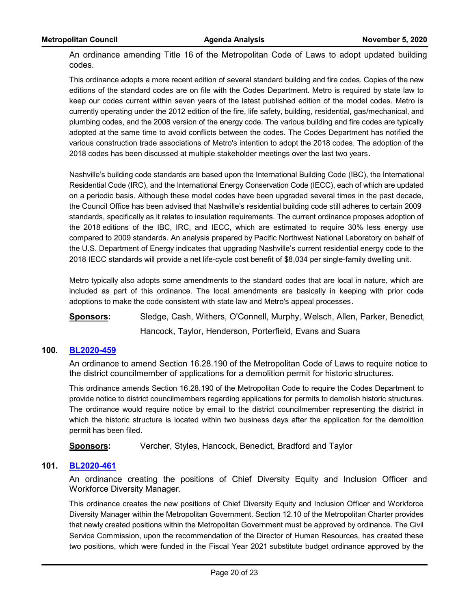An ordinance amending Title 16 of the Metropolitan Code of Laws to adopt updated building codes.

This ordinance adopts a more recent edition of several standard building and fire codes. Copies of the new editions of the standard codes are on file with the Codes Department. Metro is required by state law to keep our codes current within seven years of the latest published edition of the model codes. Metro is currently operating under the 2012 edition of the fire, life safety, building, residential, gas/mechanical, and plumbing codes, and the 2008 version of the energy code. The various building and fire codes are typically adopted at the same time to avoid conflicts between the codes. The Codes Department has notified the various construction trade associations of Metro's intention to adopt the 2018 codes. The adoption of the 2018 codes has been discussed at multiple stakeholder meetings over the last two years.

Nashville's building code standards are based upon the International Building Code (IBC), the International Residential Code (IRC), and the International Energy Conservation Code (IECC), each of which are updated on a periodic basis. Although these model codes have been upgraded several times in the past decade, the Council Office has been advised that Nashville's residential building code still adheres to certain 2009 standards, specifically as it relates to insulation requirements. The current ordinance proposes adoption of the 2018 editions of the IBC, IRC, and IECC, which are estimated to require 30% less energy use compared to 2009 standards. An analysis prepared by Pacific Northwest National Laboratory on behalf of the U.S. Department of Energy indicates that upgrading Nashville's current residential energy code to the 2018 IECC standards will provide a net life-cycle cost benefit of \$8,034 per single-family dwelling unit.

Metro typically also adopts some amendments to the standard codes that are local in nature, which are included as part of this ordinance. The local amendments are basically in keeping with prior code adoptions to make the code consistent with state law and Metro's appeal processes.

**Sponsors:** Sledge, Cash, Withers, O'Connell, Murphy, Welsch, Allen, Parker, Benedict, Hancock, Taylor, Henderson, Porterfield, Evans and Suara

### **100. [BL2020-459](http://nashville.legistar.com/gateway.aspx?m=l&id=/matter.aspx?key=1416)**

An ordinance to amend Section 16.28.190 of the Metropolitan Code of Laws to require notice to the district councilmember of applications for a demolition permit for historic structures.

This ordinance amends Section 16.28.190 of the Metropolitan Code to require the Codes Department to provide notice to district councilmembers regarding applications for permits to demolish historic structures. The ordinance would require notice by email to the district councilmember representing the district in which the historic structure is located within two business days after the application for the demolition permit has been filed.

**Sponsors:** Vercher, Styles, Hancock, Benedict, Bradford and Taylor

# **101. [BL2020-461](http://nashville.legistar.com/gateway.aspx?m=l&id=/matter.aspx?key=1386)**

An ordinance creating the positions of Chief Diversity Equity and Inclusion Officer and Workforce Diversity Manager.

This ordinance creates the new positions of Chief Diversity Equity and Inclusion Officer and Workforce Diversity Manager within the Metropolitan Government. Section 12.10 of the Metropolitan Charter provides that newly created positions within the Metropolitan Government must be approved by ordinance. The Civil Service Commission, upon the recommendation of the Director of Human Resources, has created these two positions, which were funded in the Fiscal Year 2021 substitute budget ordinance approved by the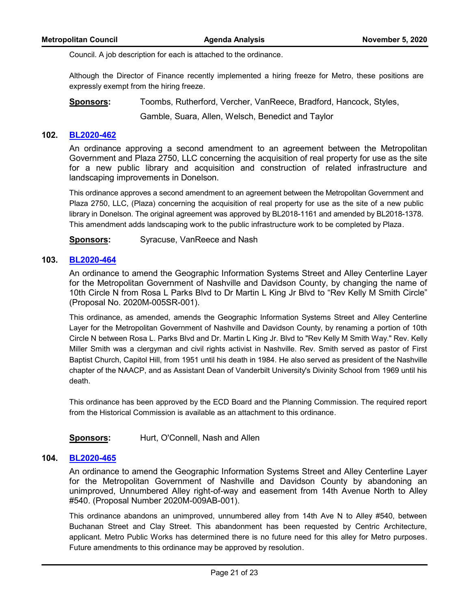Council. A job description for each is attached to the ordinance.

Although the Director of Finance recently implemented a hiring freeze for Metro, these positions are expressly exempt from the hiring freeze.

**Sponsors:** Toombs, Rutherford, Vercher, VanReece, Bradford, Hancock, Styles, Gamble, Suara, Allen, Welsch, Benedict and Taylor

# **102. [BL2020-462](http://nashville.legistar.com/gateway.aspx?m=l&id=/matter.aspx?key=1399)**

An ordinance approving a second amendment to an agreement between the Metropolitan Government and Plaza 2750, LLC concerning the acquisition of real property for use as the site for a new public library and acquisition and construction of related infrastructure and landscaping improvements in Donelson.

This ordinance approves a second amendment to an agreement between the Metropolitan Government and Plaza 2750, LLC, (Plaza) concerning the acquisition of real property for use as the site of a new public library in Donelson. The original agreement was approved by BL2018-1161 and amended by BL2018-1378. This amendment adds landscaping work to the public infrastructure work to be completed by Plaza.

**Sponsors:** Syracuse, VanReece and Nash

#### **103. [BL2020-464](http://nashville.legistar.com/gateway.aspx?m=l&id=/matter.aspx?key=1381)**

An ordinance to amend the Geographic Information Systems Street and Alley Centerline Layer for the Metropolitan Government of Nashville and Davidson County, by changing the name of 10th Circle N from Rosa L Parks Blvd to Dr Martin L King Jr Blvd to "Rev Kelly M Smith Circle" (Proposal No. 2020M-005SR-001).

This ordinance, as amended, amends the Geographic Information Systems Street and Alley Centerline Layer for the Metropolitan Government of Nashville and Davidson County, by renaming a portion of 10th Circle N between Rosa L. Parks Blvd and Dr. Martin L King Jr. Blvd to "Rev Kelly M Smith Way." Rev. Kelly Miller Smith was a clergyman and civil rights activist in Nashville. Rev. Smith served as pastor of First Baptist Church, Capitol Hill, from 1951 until his death in 1984. He also served as president of the Nashville chapter of the NAACP, and as Assistant Dean of Vanderbilt University's Divinity School from 1969 until his death.

This ordinance has been approved by the ECD Board and the Planning Commission. The required report from the Historical Commission is available as an attachment to this ordinance.

**Sponsors:** Hurt, O'Connell, Nash and Allen

#### **104. [BL2020-465](http://nashville.legistar.com/gateway.aspx?m=l&id=/matter.aspx?key=1398)**

An ordinance to amend the Geographic Information Systems Street and Alley Centerline Layer for the Metropolitan Government of Nashville and Davidson County by abandoning an unimproved, Unnumbered Alley right-of-way and easement from 14th Avenue North to Alley #540. (Proposal Number 2020M-009AB-001).

This ordinance abandons an unimproved, unnumbered alley from 14th Ave N to Alley #540, between Buchanan Street and Clay Street. This abandonment has been requested by Centric Architecture, applicant. Metro Public Works has determined there is no future need for this alley for Metro purposes. Future amendments to this ordinance may be approved by resolution.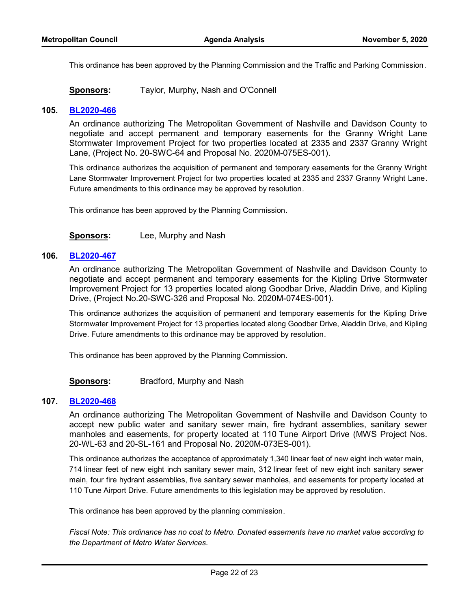This ordinance has been approved by the Planning Commission and the Traffic and Parking Commission.

**Sponsors:** Taylor, Murphy, Nash and O'Connell

#### **105. [BL2020-466](http://nashville.legistar.com/gateway.aspx?m=l&id=/matter.aspx?key=1376)**

An ordinance authorizing The Metropolitan Government of Nashville and Davidson County to negotiate and accept permanent and temporary easements for the Granny Wright Lane Stormwater Improvement Project for two properties located at 2335 and 2337 Granny Wright Lane, (Project No. 20-SWC-64 and Proposal No. 2020M-075ES-001).

This ordinance authorizes the acquisition of permanent and temporary easements for the Granny Wright Lane Stormwater Improvement Project for two properties located at 2335 and 2337 Granny Wright Lane. Future amendments to this ordinance may be approved by resolution.

This ordinance has been approved by the Planning Commission.

**Sponsors:** Lee, Murphy and Nash

#### **106. [BL2020-467](http://nashville.legistar.com/gateway.aspx?m=l&id=/matter.aspx?key=1378)**

An ordinance authorizing The Metropolitan Government of Nashville and Davidson County to negotiate and accept permanent and temporary easements for the Kipling Drive Stormwater Improvement Project for 13 properties located along Goodbar Drive, Aladdin Drive, and Kipling Drive, (Project No.20-SWC-326 and Proposal No. 2020M-074ES-001).

This ordinance authorizes the acquisition of permanent and temporary easements for the Kipling Drive Stormwater Improvement Project for 13 properties located along Goodbar Drive, Aladdin Drive, and Kipling Drive. Future amendments to this ordinance may be approved by resolution.

This ordinance has been approved by the Planning Commission.

**Sponsors:** Bradford, Murphy and Nash

#### **107. [BL2020-468](http://nashville.legistar.com/gateway.aspx?m=l&id=/matter.aspx?key=1377)**

An ordinance authorizing The Metropolitan Government of Nashville and Davidson County to accept new public water and sanitary sewer main, fire hydrant assemblies, sanitary sewer manholes and easements, for property located at 110 Tune Airport Drive (MWS Project Nos. 20-WL-63 and 20-SL-161 and Proposal No. 2020M-073ES-001).

This ordinance authorizes the acceptance of approximately 1,340 linear feet of new eight inch water main, 714 linear feet of new eight inch sanitary sewer main, 312 linear feet of new eight inch sanitary sewer main, four fire hydrant assemblies, five sanitary sewer manholes, and easements for property located at 110 Tune Airport Drive. Future amendments to this legislation may be approved by resolution.

This ordinance has been approved by the planning commission.

*Fiscal Note: This ordinance has no cost to Metro. Donated easements have no market value according to the Department of Metro Water Services.*